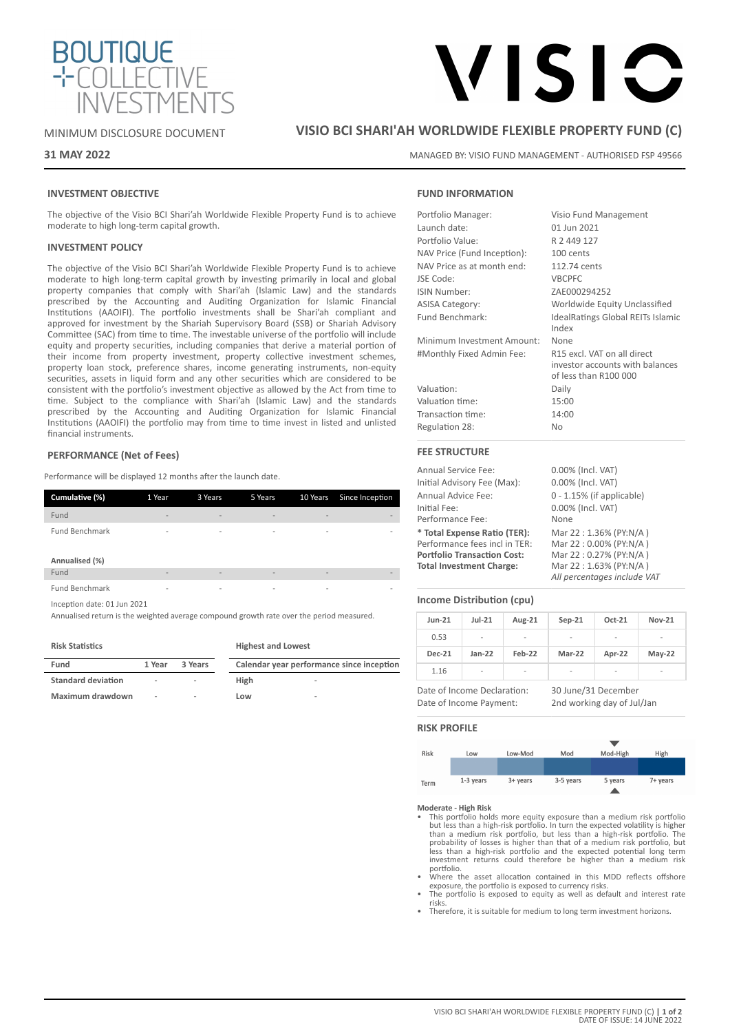

# MINIMUM DISCLOSURE DOCUMENT

# **31 MAY 2022**

# **VISIO BCI SHARI'AH WORLDWIDE FLEXIBLE PROPERTY FUND (C)**

MANAGED BY: VISIO FUND MANAGEMENT - AUTHORISED FSP 49566

VISIC

# **INVESTMENT OBJECTIVE**

The objective of the Visio BCI Shari'ah Worldwide Flexible Property Fund is to achieve moderate to high long-term capital growth.

## **INVESTMENT POLICY**

The objective of the Visio BCI Shari'ah Worldwide Flexible Property Fund is to achieve moderate to high long-term capital growth by investing primarily in local and global property companies that comply with Shari'ah (Islamic Law) and the standards prescribed by the Accounting and Auditing Organization for Islamic Financial Institutions (AAOIFI). The portfolio investments shall be Shari'ah compliant and approved for investment by the Shariah Supervisory Board (SSB) or Shariah Advisory Committee (SAC) from time to time. The investable universe of the portfolio will include equity and property securities, including companies that derive a material portion of their income from property investment, property collective investment schemes, property loan stock, preference shares, income generating instruments, non-equity securities, assets in liquid form and any other securities which are considered to be consistent with the portfolio's investment objective as allowed by the Act from time to time. Subject to the compliance with Shari'ah (Islamic Law) and the standards prescribed by the Accounting and Auditing Organization for Islamic Financial Institutions (AAOIFI) the portfolio may from time to time invest in listed and unlisted financial instruments.

# **PERFORMANCE (Net of Fees)**

Performance will be displayed 12 months after the launch date.

| Cumulative (%)                                                                                                                                                                                                                                                   | 1 Year                   | 3 Years                  | 5 Years                                                                                                                                                                                                                                                                                                                                                                                                                      | 10 Years                     | Since Inception |
|------------------------------------------------------------------------------------------------------------------------------------------------------------------------------------------------------------------------------------------------------------------|--------------------------|--------------------------|------------------------------------------------------------------------------------------------------------------------------------------------------------------------------------------------------------------------------------------------------------------------------------------------------------------------------------------------------------------------------------------------------------------------------|------------------------------|-----------------|
| Fund                                                                                                                                                                                                                                                             | -                        | $\overline{a}$           | $\overline{\phantom{0}}$                                                                                                                                                                                                                                                                                                                                                                                                     | $\qquad \qquad \blacksquare$ |                 |
| <b>Fund Benchmark</b>                                                                                                                                                                                                                                            | $\overline{\phantom{0}}$ | $\overline{\phantom{a}}$ | $\overline{\phantom{a}}$                                                                                                                                                                                                                                                                                                                                                                                                     | $\overline{\phantom{a}}$     |                 |
| Annualised (%)                                                                                                                                                                                                                                                   |                          |                          |                                                                                                                                                                                                                                                                                                                                                                                                                              |                              |                 |
| Fund                                                                                                                                                                                                                                                             | $\overline{\phantom{a}}$ | $\overline{\phantom{a}}$ | $\overline{a}$                                                                                                                                                                                                                                                                                                                                                                                                               | $\overline{a}$               |                 |
| <b>Fund Benchmark</b>                                                                                                                                                                                                                                            | $\overline{a}$           | $\overline{\phantom{a}}$ | $\overline{\phantom{a}}$                                                                                                                                                                                                                                                                                                                                                                                                     | $\overline{\phantom{a}}$     |                 |
| Inception date: 01 Jun 2021<br>$\mathbf{A}$ . The contract of the contract of the contract of the contract of the contract of the contract of the contract of the contract of the contract of the contract of the contract of the contract of the contract of th |                          |                          | $\mathbf{r} = \mathbf{r} = \mathbf{r} = \mathbf{r} = \mathbf{r} = \mathbf{r} = \mathbf{r} = \mathbf{r} = \mathbf{r} = \mathbf{r} = \mathbf{r} = \mathbf{r} = \mathbf{r} = \mathbf{r} = \mathbf{r} = \mathbf{r} = \mathbf{r} = \mathbf{r} = \mathbf{r} = \mathbf{r} = \mathbf{r} = \mathbf{r} = \mathbf{r} = \mathbf{r} = \mathbf{r} = \mathbf{r} = \mathbf{r} = \mathbf{r} = \mathbf{r} = \mathbf{r} = \mathbf{r} = \mathbf$ |                              |                 |

Annualised return is the weighted average compound growth rate over the period measured.

#### **Risk Statistics**

| Fund                      | 1 Year | 3 Years | Calendar year performance since inception |
|---------------------------|--------|---------|-------------------------------------------|
| <b>Standard deviation</b> | ۰      | $\sim$  | High<br>$\sim$                            |
| Maximum drawdown          | ٠      | $\sim$  | Low<br>$\sim$                             |

**Highest and Lowest**

# **FUND INFORMATION**

| Portfolio Manager:          | Visio Fund Management                                                                   |
|-----------------------------|-----------------------------------------------------------------------------------------|
| Launch date:                | 01 Jun 2021                                                                             |
| Portfolio Value:            | R 2 449 127                                                                             |
| NAV Price (Fund Inception): | 100 cents                                                                               |
| NAV Price as at month end:  | 112.74 cents                                                                            |
| JSE Code:                   | <b>VBCPFC</b>                                                                           |
| ISIN Number:                | ZAE000294252                                                                            |
| <b>ASISA Category:</b>      | Worldwide Equity Unclassified                                                           |
| Fund Benchmark:             | <b>IdealRatings Global REITs Islamic</b><br>Index                                       |
| Minimum Investment Amount:  | None                                                                                    |
| #Monthly Fixed Admin Fee:   | R15 excl. VAT on all direct<br>investor accounts with balances<br>of less than R100 000 |
| Valuation:                  | Daily                                                                                   |
| Valuation time:             | 15:00                                                                                   |
| Transaction time:           | 14:00                                                                                   |
| Regulation 28:              | No                                                                                      |
| <b>FEE STRUCTURE</b>        |                                                                                         |

| <b>Annual Service Fee:</b>         | 0.00% (Incl. VAT)            |
|------------------------------------|------------------------------|
| Initial Advisory Fee (Max):        | 0.00% (Incl. VAT)            |
| Annual Advice Fee:                 | $0 - 1.15\%$ (if applicable) |
| Initial Fee:                       | 0.00% (Incl. VAT)            |
| Performance Fee:                   | None                         |
| * Total Expense Ratio (TER):       | Mar 22:1.36% (PY:N/A)        |
| Performance fees incl in TER:      | Mar 22:0.00% (PY:N/A)        |
| <b>Portfolio Transaction Cost:</b> | Mar 22:0.27% (PY:N/A)        |
| <b>Total Investment Charge:</b>    | Mar 22:1.63% (PY:N/A)        |
|                                    | All percentages include VAT  |

# **Income Distribution (cpu)**

| <b>Jun-21</b> | $Jul-21$       | Aug-21                   | $Sep-21$ | Oct-21                   | <b>Nov-21</b>            |
|---------------|----------------|--------------------------|----------|--------------------------|--------------------------|
| 0.53          | $\overline{a}$ | $\overline{\phantom{a}}$ | ۰        | ۰                        | ۰                        |
| <b>Dec-21</b> | $Jan-22$       | Feb-22                   | Mar-22   | Apr-22                   | $May-22$                 |
| 1.16          | -              | $\overline{\phantom{a}}$ | -        | $\overline{\phantom{a}}$ | $\overline{\phantom{0}}$ |

Date of Income Declaration: 30 June/31 December Date of Income Payment: 2nd working day of Jul/Jan

# **RISK PROFILE**



- **Moderate High Risk** This portfolio holds more equity exposure than a medium risk portfolio but less than a high-risk portfolio. In turn the expected volatility is higher<br>than a medium risk portfolio, but less than a high-risk portfolio. The<br>probability of losses is higher than that of a medium risk portfolio, bu portfolio.
- Where the asset allocation contained in this MDD reflects offshore exposure, the portfolio is exposed to currency risks.
- The portfolio is exposed to equity as well as default and interest rate risks.
- Therefore, it is suitable for medium to long term investment horizons.